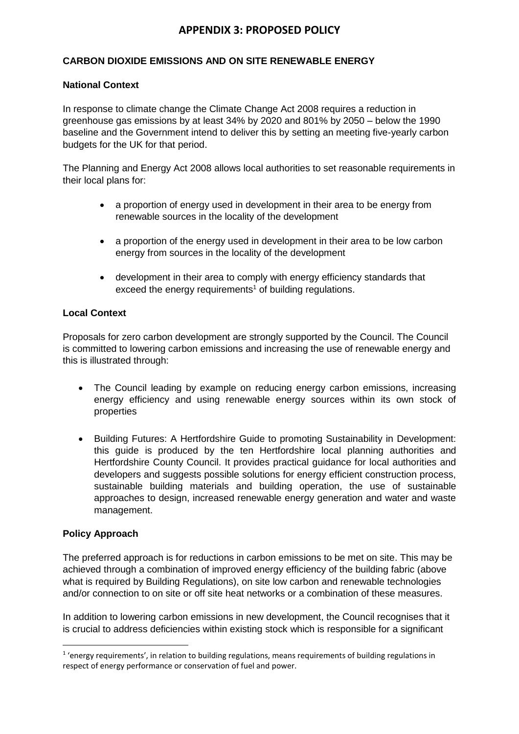# **APPENDIX 3: PROPOSED POLICY**

## **CARBON DIOXIDE EMISSIONS AND ON SITE RENEWABLE ENERGY**

#### **National Context**

In response to climate change the Climate Change Act 2008 requires a reduction in greenhouse gas emissions by at least 34% by 2020 and 801% by 2050 – below the 1990 baseline and the Government intend to deliver this by setting an meeting five-yearly carbon budgets for the UK for that period.

The Planning and Energy Act 2008 allows local authorities to set reasonable requirements in their local plans for:

- a proportion of energy used in development in their area to be energy from renewable sources in the locality of the development
- a proportion of the energy used in development in their area to be low carbon energy from sources in the locality of the development
- development in their area to comply with energy efficiency standards that exceed the energy requirements<sup>1</sup> of building regulations.

### **Local Context**

Proposals for zero carbon development are strongly supported by the Council. The Council is committed to lowering carbon emissions and increasing the use of renewable energy and this is illustrated through:

- The Council leading by example on reducing energy carbon emissions, increasing energy efficiency and using renewable energy sources within its own stock of properties
- Building Futures: A Hertfordshire Guide to promoting Sustainability in Development: this guide is produced by the ten Hertfordshire local planning authorities and Hertfordshire County Council. It provides practical guidance for local authorities and developers and suggests possible solutions for energy efficient construction process, sustainable building materials and building operation, the use of sustainable approaches to design, increased renewable energy generation and water and waste management.

#### **Policy Approach**

**.** 

The preferred approach is for reductions in carbon emissions to be met on site. This may be achieved through a combination of improved energy efficiency of the building fabric (above what is required by Building Regulations), on site low carbon and renewable technologies and/or connection to on site or off site heat networks or a combination of these measures.

In addition to lowering carbon emissions in new development, the Council recognises that it is crucial to address deficiencies within existing stock which is responsible for a significant

<sup>&</sup>lt;sup>1</sup> 'energy requirements', in relation to building regulations, means requirements of building regulations in respect of energy performance or conservation of fuel and power.